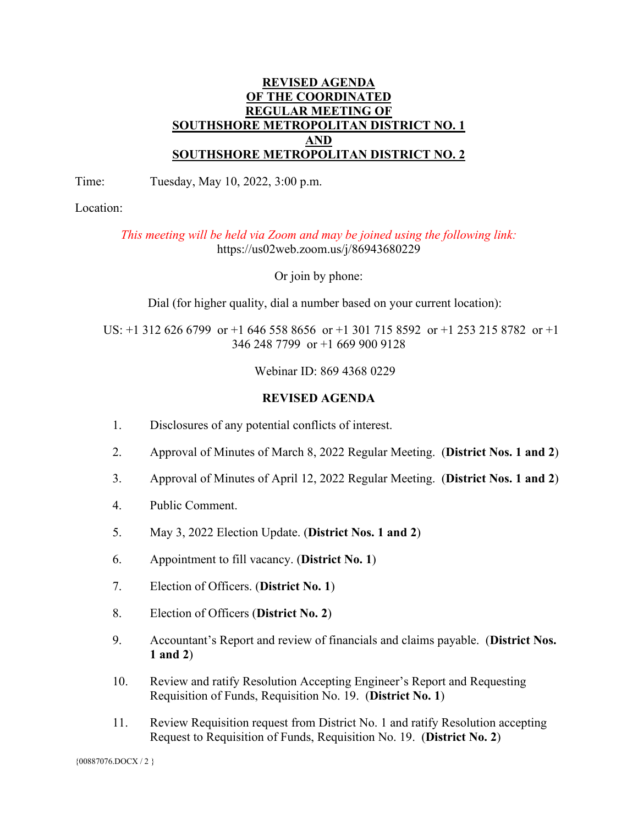## **REVISED AGENDA OF THE COORDINATED REGULAR MEETING OF SOUTHSHORE METROPOLITAN DISTRICT NO. 1 AND SOUTHSHORE METROPOLITAN DISTRICT NO. 2**

Time: Tuesday, May 10, 2022, 3:00 p.m.

Location:

*This meeting will be held via Zoom and may be joined using the following link:*  https://us02web.zoom.us/j/86943680229

Or join by phone:

Dial (for higher quality, dial a number based on your current location):

 US: +1 312 626 6799 or +1 646 558 8656 or +1 301 715 8592 or +1 253 215 8782 or +1 346 248 7799 or +1 669 900 9128

Webinar ID: 869 4368 0229

## **REVISED AGENDA**

- 1. Disclosures of any potential conflicts of interest.
- 2. Approval of Minutes of March 8, 2022 Regular Meeting. (**District Nos. 1 and 2**)
- 3. Approval of Minutes of April 12, 2022 Regular Meeting. (**District Nos. 1 and 2**)
- 4. Public Comment.
- 5. May 3, 2022 Election Update. (**District Nos. 1 and 2**)
- 6. Appointment to fill vacancy. (**District No. 1**)
- 7. Election of Officers. (**District No. 1**)
- 8. Election of Officers (**District No. 2**)
- 9. Accountant's Report and review of financials and claims payable. (**District Nos. 1 and 2**)
- 10. Review and ratify Resolution Accepting Engineer's Report and Requesting Requisition of Funds, Requisition No. 19. (**District No. 1**)
- 11. Review Requisition request from District No. 1 and ratify Resolution accepting Request to Requisition of Funds, Requisition No. 19. (**District No. 2**)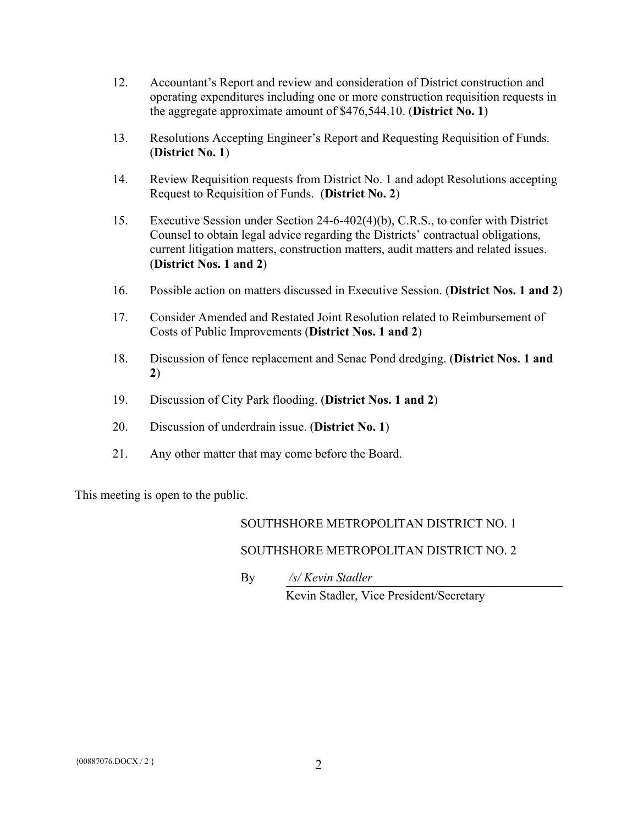- 12. Accountant's Report and review and consideration of District construction and operating expenditures including one or more construction requisition requests in the aggregate approximate amount of \$476,544.10. (**District No. 1**)
- 13. Resolutions Accepting Engineer's Report and Requesting Requisition of Funds. (**District No. 1**)
- 14. Review Requisition requests from District No. 1 and adopt Resolutions accepting Request to Requisition of Funds. (**District No. 2**)
- 15. Executive Session under Section 24-6-402(4)(b), C.R.S., to confer with District Counsel to obtain legal advice regarding the Districts' contractual obligations, current litigation matters, construction matters, audit matters and related issues. (**District Nos. 1 and 2**)
- 16. Possible action on matters discussed in Executive Session. (**District Nos. 1 and 2**)
- 17. Consider Amended and Restated Joint Resolution related to Reimbursement of Costs of Public Improvements (**District Nos. 1 and 2**)
- 18. Discussion of fence replacement and Senac Pond dredging. (**District Nos. 1 and 2**)
- 19. Discussion of City Park flooding. (**District Nos. 1 and 2**)
- 20. Discussion of underdrain issue. (**District No. 1**)
- 21. Any other matter that may come before the Board.

This meeting is open to the public.

## SOUTHSHORE METROPOLITAN DISTRICT NO. 1

## SOUTHSHORE METROPOLITAN DISTRICT NO. 2

By */s/ Kevin Stadler*

Kevin Stadler, Vice President/Secretary